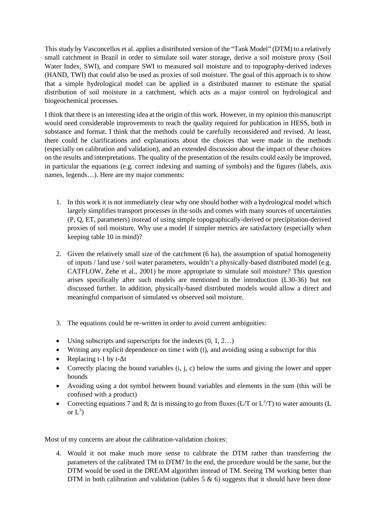This study by Vasconcellos et al. applies a distributed version of the "Tank Model" (DTM) to a relatively small catchment in Brazil in order to simulate soil water storage, derive a soil moisture proxy (Soil Water Index, SWI), and compare SWI to measured soil moisture and to topography-derived indexes (HAND, TWI) that could also be used as proxies of soil moisture. The goal of this approach is to show that a simple hydrological model can be applied in a distributed manner to estimate the spatial distribution of soil moisture in a catchment, which acts as a major control on hydrological and biogeochemical processes.

I think that there is an interesting idea at the origin of this work. However, in my opinion this manuscript would need considerable improvements to reach the quality required for publication in HESS, both in substance and format. I think that the methods could be carefully reconsidered and revised. At least, there could be clarifications and explanations about the choices that were made in the methods (especially on calibration and validation), and an extended discussion about the impact of these choices on the results and interpretations. The quality of the presentation of the results could easily be improved, in particular the equations (e.g. correct indexing and naming of symbols) and the figures (labels, axis names, legends…). Here are my major comments:

- 1. In this work it is not immediately clear why one should bother with a hydrological model which largely simplifies transport processes in the soils and comes with many sources of uncertainties (P, Q, ET, parameters) instead of using simple topographically-derived or precipitation-derived proxies of soil moisture. Why use a model if simpler metrics are satisfactory (especially when keeping table 10 in mind)?
- 2. Given the relatively small size of the catchment (6 ha), the assumption of spatial homogeneity of inputs / land use / soil water parameters, wouldn't a physically-based distributed model (e.g. CATFLOW, Zehe et al., 2001) be more appropriate to simulate soil moisture? This question arises specifically after such models are mentioned in the introduction (L30-36) but not discussed further. In addition, physically-based distributed models would allow a direct and meaningful comparison of simulated vs observed soil moisture.
- 3. The equations could be re-written in order to avoid current ambiguities:
- Using subscripts and superscripts for the indexes  $(0, 1, 2...)$
- Writing any explicit dependence on time t with (t), and avoiding using a subscript for this
- Replacing t-1 by t- $\Delta t$
- Correctly placing the bound variables (i, j, c) below the sums and giving the lower and upper bounds
- Avoiding using a dot symbol between bound variables and elements in the sum (this will be confused with a product)
- Correcting equations 7 and 8;  $\Delta t$  is missing to go from fluxes (L/T or  $L^3/T$ ) to water amounts (L or  $L^3$ )

Most of my concerns are about the calibration-validation choices:

4. Would it not make much more sense to calibrate the DTM rather than transferring the parameters of the calibrated TM to DTM? In the end, the procedure would be the same, but the DTM would be used in the DREAM algorithm instead of TM. Seeing TM working better than DTM in both calibration and validation (tables  $5 \& 6$ ) suggests that it should have been done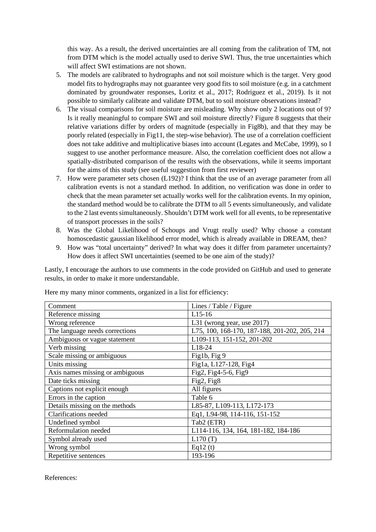this way. As a result, the derived uncertainties are all coming from the calibration of TM, not from DTM which is the model actually used to derive SWI. Thus, the true uncertainties which will affect SWI estimations are not shown.

- 5. The models are calibrated to hydrographs and not soil moisture which is the target. Very good model fits to hydrographs may not guarantee very good fits to soil moisture (e.g. in a catchment dominated by groundwater responses, Loritz et al., 2017; Rodriguez et al., 2019). Is it not possible to similarly calibrate and validate DTM, but to soil moisture observations instead?
- 6. The visual comparisons for soil moisture are misleading. Why show only 2 locations out of 9? Is it really meaningful to compare SWI and soil moisture directly? Figure 8 suggests that their relative variations differ by orders of magnitude (especially in Fig8b), and that they may be poorly related (especially in Fig11, the step-wise behavior). The use of a correlation coefficient does not take additive and multiplicative biases into account (Legates and McCabe, 1999), so I suggest to use another performance measure. Also, the correlation coefficient does not allow a spatially-distributed comparison of the results with the observations, while it seems important for the aims of this study (see useful suggestion from first reviewer)
- 7. How were parameter sets chosen (L192)? I think that the use of an average parameter from all calibration events is not a standard method. In addition, no verification was done in order to check that the mean parameter set actually works well for the calibration events. In my opinion, the standard method would be to calibrate the DTM to all 5 events simultaneously, and validate to the 2 last events simultaneously. Shouldn't DTM work well for all events, to be representative of transport processes in the soils?
- 8. Was the Global Likelihood of Schoups and Vrugt really used? Why choose a constant homoscedastic gaussian likelihood error model, which is already available in DREAM, then?
- 9. How was "total uncertainty" derived? In what way does it differ from parameter uncertainty? How does it affect SWI uncertainties (seemed to be one aim of the study)?

Lastly, I encourage the authors to use comments in the code provided on GitHub and used to generate results, in order to make it more understandable.

| Comment                         | Lines / Table / Figure                        |
|---------------------------------|-----------------------------------------------|
| Reference missing               | L <sub>15</sub> -16                           |
| Wrong reference                 | L31 (wrong year, use 2017)                    |
| The language needs corrections  | L75, 100, 168-170, 187-188, 201-202, 205, 214 |
| Ambiguous or vague statement    | L109-113, 151-152, 201-202                    |
| Verb missing                    | L18-24                                        |
| Scale missing or ambiguous      | Fig1b, Fig 9                                  |
| Units missing                   | Fig1a, L127-128, Fig4                         |
| Axis names missing or ambiguous | Fig2, Fig4-5-6, Fig9                          |
| Date ticks missing              | Fig2, Fig8                                    |
| Captions not explicit enough    | All figures                                   |
| Errors in the caption           | Table 6                                       |
| Details missing on the methods  | L85-87, L109-113, L172-173                    |
| <b>Clarifications</b> needed    | Eq1, L94-98, 114-116, 151-152                 |
| Undefined symbol                | Tab2 (ETR)                                    |
| Reformulation needed            | L114-116, 134, 164, 181-182, 184-186          |
| Symbol already used             | L170(T)                                       |
| Wrong symbol                    | Eq12 $(t)$                                    |
| Repetitive sentences            | 193-196                                       |

Here my many minor comments, organized in a list for efficiency:

References: